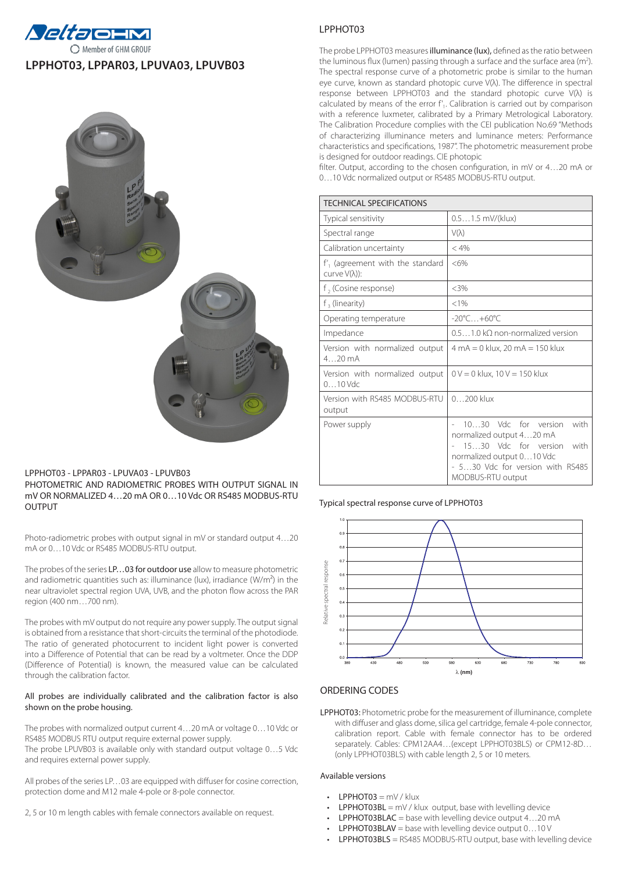

# **LPPHOT03, LPPAR03, LPUVA03, LPUVB03**



## LPPHOT03 - LPPAR03 - LPUVA03 - LPUVB03 PHOTOMETRIC AND RADIOMETRIC PROBES WITH OUTPUT SIGNAL IN mV OR NORMALIZED 4…20 mA OR 0…10 Vdc OR RS485 MODBUS-RTU OUTPUT

Photo-radiometric probes with output signal in mV or standard output 4…20 mA or 0…10 Vdc or RS485 MODBUS-RTU output.

The probes of the series LP...03 for outdoor use allow to measure photometric and radiometric quantities such as: illuminance (lux), irradiance (W/m<sup>2</sup>) in the near ultraviolet spectral region UVA, UVB, and the photon flow across the PAR region (400 nm…700 nm).

The probes with mV output do not require any power supply. The output signal is obtained from a resistance that short-circuits the terminal of the photodiode. The ratio of generated photocurrent to incident light power is converted into a Difference of Potential that can be read by a voltmeter. Once the DDP (Difference of Potential) is known, the measured value can be calculated through the calibration factor.

#### All probes are individually calibrated and the calibration factor is also shown on the probe housing.

The probes with normalized output current 4…20 mA or voltage 0…10 Vdc or RS485 MODBUS RTU output require external power supply. The probe LPUVB03 is available only with standard output voltage 0…5 Vdc and requires external power supply.

All probes of the series LP…03 are equipped with diffuser for cosine correction, protection dome and M12 male 4-pole or 8-pole connector.

2, 5 or 10 m length cables with female connectors available on request.

# LPPHOT03

The probe LPPHOT03 measures illuminance (lux), defined as the ratio between the luminous flux (lumen) passing through a surface and the surface area (m<sup>2</sup>). The spectral response curve of a photometric probe is similar to the human eye curve, known as standard photopic curve V(λ). The difference in spectral response between LPPHOT03 and the standard photopic curve V(λ) is calculated by means of the error f'<sub>1</sub>. Calibration is carried out by comparison with a reference luxmeter, calibrated by a Primary Metrological Laboratory. The Calibration Procedure complies with the CEI publication No.69 "Methods of characterizing illuminance meters and luminance meters: Performance characteristics and specifications, 1987". The photometric measurement probe is designed for outdoor readings. CIE photopic

filter. Output, according to the chosen configuration, in mV or 4…20 mA or 0…10 Vdc normalized output or RS485 MODBUS-RTU output.

| <b>TECHNICAL SPECIFICATIONS</b>                             |                                                                                                                                                                                 |  |
|-------------------------------------------------------------|---------------------------------------------------------------------------------------------------------------------------------------------------------------------------------|--|
| Typical sensitivity                                         | 0.51.5 mV/(klux)                                                                                                                                                                |  |
| Spectral range                                              | $V(\lambda)$                                                                                                                                                                    |  |
| Calibration uncertainty                                     | < 4%                                                                                                                                                                            |  |
| $f'$ , (agreement with the standard<br>curve $V(\lambda)$ : | $<6\%$                                                                                                                                                                          |  |
| f, (Cosine response)                                        | $<3\%$                                                                                                                                                                          |  |
| $f3$ (linearity)                                            | < 1%                                                                                                                                                                            |  |
| Operating temperature                                       | $-20^{\circ}$ C $+60^{\circ}$ C                                                                                                                                                 |  |
| Impedance                                                   | 0.51.0 kO non-normalized version                                                                                                                                                |  |
| Version with normalized output<br>$420 \text{ mA}$          | $4 \text{ mA} = 0 \text{ klux}$ , 20 mA = 150 klux                                                                                                                              |  |
| Version with normalized output<br>$010$ Vdc                 | $0 V = 0$ klux, $10 V = 150$ klux                                                                                                                                               |  |
| Version with RS485 MODBUS-RTU<br>output                     | $0200$ klux                                                                                                                                                                     |  |
| Power supply                                                | 10.30 Vdc for version<br>with<br>normalized output 420 mA<br>1530 Vdc for version<br>with<br>normalized output 010 Vdc<br>- 530 Vdc for version with RS485<br>MODBUS-RTU output |  |

#### Typical spectral response curve of LPPHOT03



## ORDERING CODES

LPPHOT03: Photometric probe for the measurement of illuminance, complete with diffuser and glass dome, silica gel cartridge, female 4-pole connector, calibration report. Cable with female connector has to be ordered separately. Cables: CPM12AA4…(except LPPHOT03BLS) or CPM12-8D… (only LPPHOT03BLS) with cable length 2, 5 or 10 meters.

## Available versions

- LPPHOT03 =  $mV / k$ lux
- $LPPHOTO3BL = mV / klux output, base with levelling device$
- LPPHOT03BLAC = base with levelling device output 4...20 mA
- **LPPHOT03BLAV** = base with levelling device output  $0...10V$
- **LPPHOT03BLS** = RS485 MODBUS-RTU output, base with levelling device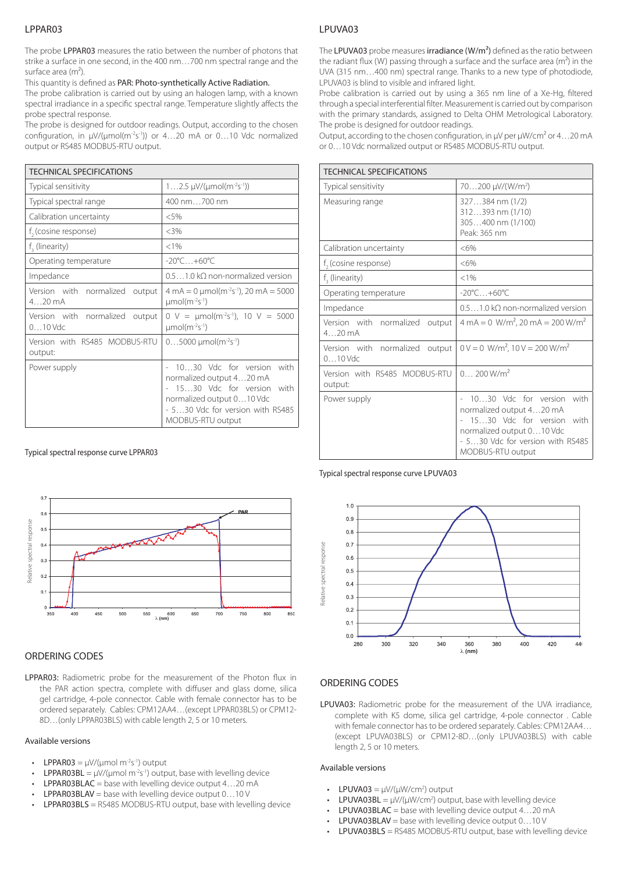## LPPAR03

The probe LPPAR03 measures the ratio between the number of photons that strike a surface in one second, in the 400 nm…700 nm spectral range and the surface area (m<sup>2</sup>).

This quantity is defined as PAR: Photo-synthetically Active Radiation.

The probe calibration is carried out by using an halogen lamp, with a known spectral irradiance in a specific spectral range. Temperature slightly affects the probe spectral response.

The probe is designed for outdoor readings. Output, according to the chosen configuration, in μV/(μmol(m-2s-1)) or 4…20 mA or 0…10 Vdc normalized output or RS485 MODBUS-RTU output.

| <b>TECHNICAL SPECIFICATIONS</b>                    |                                                                                                                                                                          |  |
|----------------------------------------------------|--------------------------------------------------------------------------------------------------------------------------------------------------------------------------|--|
| Typical sensitivity                                | $12.5 \mu V/(µmol(m^{-2}s^{-1}))$                                                                                                                                        |  |
| Typical spectral range                             | 400 nm700 nm                                                                                                                                                             |  |
| Calibration uncertainty                            | < 5%                                                                                                                                                                     |  |
| f <sub>3</sub> (cosine response)                   | <3%                                                                                                                                                                      |  |
| $f2$ (linearity)                                   | < 1%                                                                                                                                                                     |  |
| Operating temperature                              | $-20^{\circ}$ C $+60^{\circ}$ C                                                                                                                                          |  |
| Impedance                                          | $0.51.0 \mathrm{k}\Omega$ non-normalized version                                                                                                                         |  |
| Version with normalized output<br>$420 \text{ mA}$ | $4 \text{ mA} = 0 \text{ \mu}$ mol(m <sup>-2</sup> s <sup>-1</sup> ), 20 mA = 5000<br>$µmol(m-2s-1)$                                                                     |  |
| Version with normalized output<br>$010$ Vdc        | 0 V = $\mu$ mol(m <sup>-2</sup> s <sup>-1</sup> ), 10 V = 5000<br>$µmol(m-2s-1)$                                                                                         |  |
| Version with RS485 MODBUS-RTU<br>output:           | $05000$ µmol(m <sup>-2</sup> s <sup>-1</sup> )                                                                                                                           |  |
| Power supply                                       | 1030 Vdc for version with<br>normalized output 420 mA<br>1530 Vdc for version with<br>normalized output 010 Vdc<br>- 530 Vdc for version with RS485<br>MODBUS-RTU output |  |

#### Typical spectral response curve LPPAR03



## ORDERING CODES

LPPAR03: Radiometric probe for the measurement of the Photon flux in the PAR action spectra, complete with diffuser and glass dome, silica gel cartridge, 4-pole connector. Cable with female connector has to be ordered separately. Cables: CPM12AA4…(except LPPAR03BLS) or CPM12- 8D…(only LPPAR03BLS) with cable length 2, 5 or 10 meters.

#### Available versions

- **LPPAR03** =  $\mu$ V/( $\mu$ mol m<sup>-2</sup>s<sup>-1</sup>) output
- LPPAR03BL =  $\mu$ V/( $\mu$ mol m<sup>-2</sup>s<sup>-1</sup>) output, base with levelling device
- **LPPAR03BLAC** = base with levelling device output  $4...20$  mA
- **LPPAR03BLAV** = base with levelling device output  $0...10V$
- $LPPARO3BLS = RS485 MODBUS-RTU output, base with levelling device$

## LPUVA03

The LPUVA03 probe measures irradiance (W/m<sup>2</sup>) defined as the ratio between the radiant flux (W) passing through a surface and the surface area ( $m<sup>2</sup>$ ) in the UVA (315 nm…400 nm) spectral range. Thanks to a new type of photodiode, LPUVA03 is blind to visible and infrared light.

Probe calibration is carried out by using a 365 nm line of a Xe-Hg, filtered through a special interferential filter. Measurement is carried out by comparison with the primary standards, assigned to Delta OHM Metrological Laboratory. The probe is designed for outdoor readings.

Output, according to the chosen configuration, in μV per μW/cm² or 4…20 mA or 0…10 Vdc normalized output or RS485 MODBUS-RTU output.

| <b>TECHNICAL SPECIFICATIONS</b>                    |                                                                                                                                                                             |
|----------------------------------------------------|-----------------------------------------------------------------------------------------------------------------------------------------------------------------------------|
| Typical sensitivity                                | 70200 µV/(W/m <sup>2</sup> )                                                                                                                                                |
| Measuring range                                    | 327384 nm (1/2)<br>312393 nm (1/10)<br>305400 nm (1/100)<br>Peak: 365 nm                                                                                                    |
| Calibration uncertainty                            | $<6\%$                                                                                                                                                                      |
| f <sub>2</sub> (cosine response)                   | $<6\%$                                                                                                                                                                      |
| $f3$ (linearity)                                   | < 1%                                                                                                                                                                        |
| Operating temperature                              | $-20^{\circ}$ C $+60^{\circ}$ C                                                                                                                                             |
| Impedance                                          | 0.51.0 kO non-normalized version                                                                                                                                            |
| Version with normalized output<br>$420 \text{ mA}$ | $4 \text{ mA} = 0 \text{ W/m}^2$ , 20 mA = 200 W/m <sup>2</sup>                                                                                                             |
| Version with normalized output<br>$010$ Vdc        | $0 V = 0$ W/m <sup>2</sup> , $10 V = 200$ W/m <sup>2</sup>                                                                                                                  |
| Version with RS485 MODBUS-RTU<br>output:           | 0.200 W/m <sup>2</sup>                                                                                                                                                      |
| Power supply                                       | 1030 Vdc for version<br>with<br>normalized output 420 mA<br>1530 Vdc for version with<br>normalized output 010 Vdc<br>- 530 Vdc for version with RS485<br>MODBUS-RTU output |

#### Typical spectral response curve LPUVA03



## ORDERING CODES

LPUVA03: Radiometric probe for the measurement of the UVA irradiance, complete with K5 dome, silica gel cartridge, 4-pole connector . Cable with female connector has to be ordered separately. Cables: CPM12AA4… (except LPUVA03BLS) or CPM12-8D...(only LPUVA03BLS) with cable length 2, 5 or 10 meters.

#### Available versions

- LPUVA03 =  $\mu$ V/( $\mu$ W/cm<sup>2</sup>) output
- LPUVA03BL =  $\mu$ V/( $\mu$ W/cm<sup>2</sup>) output, base with levelling device
- **LPUVA03BLAC** = base with levelling device output  $4...20$  mA
- LPUVA03BLAV = base with levelling device output 0...10 V
- LPUVA03BLS = RS485 MODBUS-RTU output, base with levelling device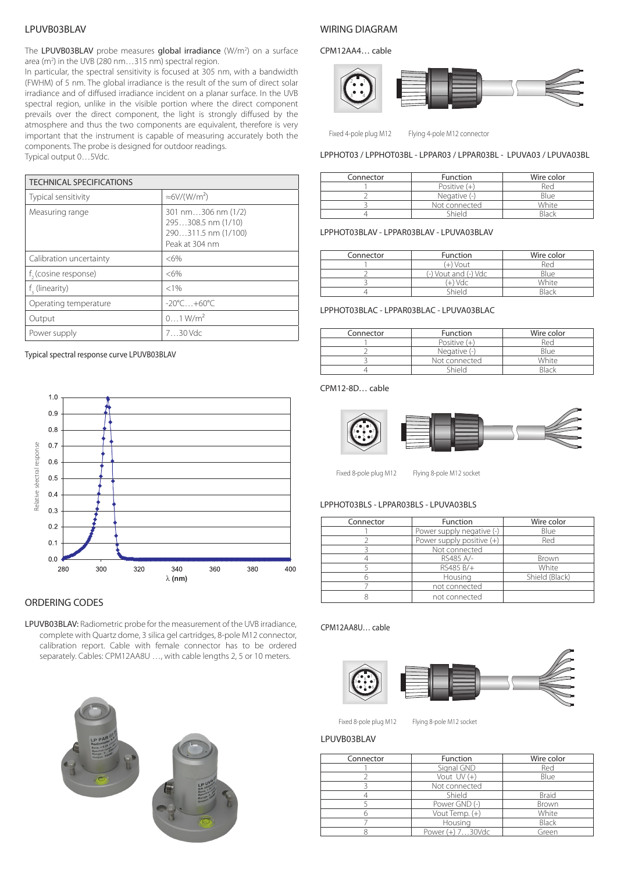# LPUVB03BLAV

The LPUVB03BLAV probe measures global irradiance (W/m<sup>2</sup>) on a surface area (m<sup>2</sup>) in the UVB (280 nm...315 nm) spectral region.

In particular, the spectral sensitivity is focused at 305 nm, with a bandwidth (FWHM) of 5 nm. The global irradiance is the result of the sum of direct solar irradiance and of diffused irradiance incident on a planar surface. In the UVB spectral region, unlike in the visible portion where the direct component prevails over the direct component, the light is strongly diffused by the atmosphere and thus the two components are equivalent, therefore is very important that the instrument is capable of measuring accurately both the components. The probe is designed for outdoor readings. Typical output 0…5Vdc.

| <b>TECHNICAL SPECIFICATIONS</b>  |                                                                                   |  |
|----------------------------------|-----------------------------------------------------------------------------------|--|
| Typical sensitivity              | $\approx$ 6V/(W/m <sup>2</sup> )                                                  |  |
| Measuring range                  | 301 nm306 nm (1/2)<br>295308.5 nm (1/10)<br>290311.5 nm (1/100)<br>Peak at 304 nm |  |
| Calibration uncertainty          | $<6\%$                                                                            |  |
| f <sub>3</sub> (cosine response) | $<6\%$                                                                            |  |
| f, (linearity)                   | < 1%                                                                              |  |
| Operating temperature            | $-20^{\circ}$ C +60 $^{\circ}$ C.                                                 |  |
| Output                           | $01$ W/m <sup>2</sup>                                                             |  |
| Power supply                     | $730$ Vdc                                                                         |  |

Typical spectral response curve LPUVB03BLAV



## ORDERING CODES

LPUVB03BLAV: Radiometric probe for the measurement of the UVB irradiance, complete with Quartz dome, 3 silica gel cartridges, 8-pole M12 connector, calibration report. Cable with female connector has to be ordered separately. Cables: CPM12AA8U …, with cable lengths 2, 5 or 10 meters.





## WIRING DIAGRAM

CPM12AA4… cable



Fixed 4-pole plug M12 Flying 4-pole M12 connector

LPPHOT03 / LPPHOT03BL - LPPAR03 / LPPAR03BL - LPUVA03 / LPUVA03BL

| Connector | <b>Function</b> | Wire color   |
|-----------|-----------------|--------------|
|           | Positive $(+)$  | Red          |
|           | Negative $(-)$  | Blue         |
|           | Not connected   | White        |
|           | Shield          | <b>Black</b> |

## LPPHOT03BLAV - LPPAR03BLAV - LPUVA03BLAV

| Connector | <b>Function</b>      | Wire color |
|-----------|----------------------|------------|
|           | (+) Vout             | Red        |
|           | (-) Vout and (-) Vdc | Blue       |
|           | (+) Vdc              | White      |
|           | hiald.               | Rlack      |

#### LPPHOT03BLAC - LPPAR03BLAC - LPUVA03BLAC

| Connector | <b>Function</b> | Wire color   |
|-----------|-----------------|--------------|
|           | Positive $(+)$  | Red          |
|           | Negative (-)    | Blue         |
|           | Not connected   | White        |
|           | Shield          | <b>Rlack</b> |

## CPM12-8D… cable



Fixed 8-pole plug M12 Flying 8-pole M12 socket

## LPPHOT03BLS - LPPAR03BLS - LPUVA03BLS

| Connector | Function                    | Wire color     |
|-----------|-----------------------------|----------------|
|           | Power supply negative (-)   | Blue           |
|           | Power supply positive $(+)$ | Red            |
|           | Not connected               |                |
|           | RS485 A/-                   | Brown          |
|           | RS485 B/+                   | White          |
|           | Housing                     | Shield (Black) |
|           | not connected               |                |
|           | not connected               |                |

#### CPM12AA8U… cable



Fixed 8-pole plug M12 Flying 8-pole M12 socket

#### LPUVB03BLAV

| Connector | Function            | Wire color   |
|-----------|---------------------|--------------|
|           | Signal GND          | Red          |
|           | Vout UV (+)         | Blue         |
|           | Not connected       |              |
|           | Shield              | <b>Braid</b> |
|           | Power GND (-)       | Brown        |
|           | Vout Temp. (+)      | White        |
|           | Housing             | Black        |
|           | Power $(+) 730$ Vdc | Green        |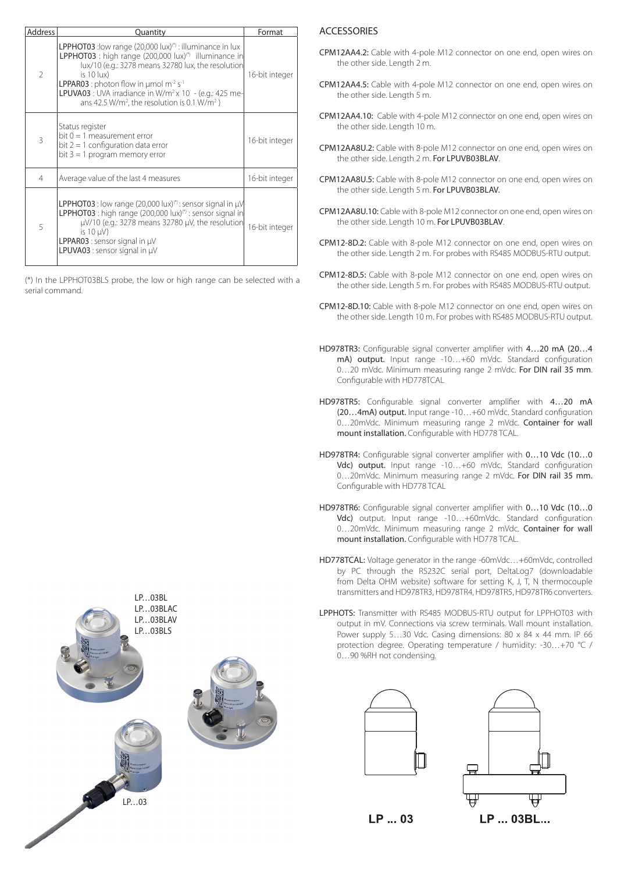| <b>Address</b> | Quantity                                                                                                                                                                                                                                                                                                                                                                                                                                       | Format         |
|----------------|------------------------------------------------------------------------------------------------------------------------------------------------------------------------------------------------------------------------------------------------------------------------------------------------------------------------------------------------------------------------------------------------------------------------------------------------|----------------|
| $\overline{2}$ | <b>LPPHOT03</b> : low range $(20,000 \text{ lux})$ ": illuminance in lux<br>LPPHOT03 : high range (200,000 lux) <sup>(*)</sup> illuminance in<br>lux/10 (e.g.: 3278 means 32780 lux, the resolution<br>is $10$ lux)<br><b>LPPAR03</b> : photon flow in $\mu$ mol m <sup>-2</sup> s <sup>-1</sup><br>LPUVA03 : UVA irradiance in W/m <sup>2</sup> x 10 - (e.g.: 425 me-<br>ans 42.5 W/m <sup>2</sup> , the resolution is 0.1 W/m <sup>2</sup> ) | 16-bit integer |
| $\mathcal{R}$  | Status register<br>bit $0 = 1$ measurement error<br>bit $2 = 1$ configuration data error<br>bit $3 = 1$ program memory error                                                                                                                                                                                                                                                                                                                   | 16-bit integer |
| 4              | Average value of the last 4 measures                                                                                                                                                                                                                                                                                                                                                                                                           | 16-bit integer |
| 5              | LPPHOT03 : low range (20,000 lux) <sup>(*)</sup> : sensor signal in µV<br>LPPHOT03 : high range (200,000 lux) <sup>(*)</sup> : sensor signal in<br>$\mu$ V/10 (e.g.: 3278 means 32780 $\mu$ V, the resolution<br>is $10 \mu V$ )<br><b>LPPAR03</b> : sensor signal in $\mu$ V<br>LPUVA03 : sensor signal in µV                                                                                                                                 | 16-bit integer |

(\*) In the LPPHOT03BLS probe, the low or high range can be selected with a serial command.



## **ACCESSORIES**

- CPM12AA4.2: Cable with 4-pole M12 connector on one end, open wires on the other side. Length 2 m.
- CPM12AA4.5: Cable with 4-pole M12 connector on one end, open wires on the other side. Length 5 m.
- CPM12AA4.10: Cable with 4-pole M12 connector on one end, open wires on the other side. Length 10 m.
- CPM12AA8U.2: Cable with 8-pole M12 connector on one end, open wires on the other side. Length 2 m. For LPUVB03BLAV.
- CPM12AA8U.5: Cable with 8-pole M12 connector on one end, open wires on the other side. Length 5 m. For LPUVB03BLAV.
- CPM12AA8U.10: Cable with 8-pole M12 connector on one end, open wires on the other side. Length 10 m. For LPUVB03BLAV.
- CPM12-8D.2: Cable with 8-pole M12 connector on one end, open wires on the other side. Length 2 m. For probes with RS485 MODBUS-RTU output.
- CPM12-8D.5: Cable with 8-pole M12 connector on one end, open wires on the other side. Length 5 m. For probes with RS485 MODBUS-RTU output.
- CPM12-8D.10: Cable with 8-pole M12 connector on one end, open wires on the other side. Length 10 m. For probes with RS485 MODBUS-RTU output.
- HD978TR3: Configurable signal converter amplifier with 4…20 mA (20…4 mA) output. Input range -10…+60 mVdc. Standard configuration 0…20 mVdc. Minimum measuring range 2 mVdc. For DIN rail 35 mm. Configurable with HD778TCAL
- HD978TR5: Configurable signal converter amplifier with 4…20 mA (20…4mA) output. Input range -10…+60 mVdc. Standard configuration 0…20mVdc. Minimum measuring range 2 mVdc. Container for wall mount installation. Configurable with HD778 TCAL.
- HD978TR4: Configurable signal converter amplifier with 0…10 Vdc (10…0 Vdc) output. Input range -10…+60 mVdc. Standard configuration 0…20mVdc. Minimum measuring range 2 mVdc. For DIN rail 35 mm. Configurable with HD778 TCAL
- HD978TR6: Configurable signal converter amplifier with 0…10 Vdc (10…0 Vdc) output. Input range -10…+60mVdc. Standard configuration 0…20mVdc. Minimum measuring range 2 mVdc. Container for wall mount installation. Configurable with HD778 TCAL.
- HD778TCAL: Voltage generator in the range -60mVdc…+60mVdc, controlled by PC through the RS232C serial port, DeltaLog7 (downloadable from Delta OHM website) software for setting K, J, T, N thermocouple transmitters and HD978TR3, HD978TR4, HD978TR5, HD978TR6 converters.
- LPPHOTS: Transmitter with RS485 MODBUS-RTU output for LPPHOT03 with output in mV. Connections via screw terminals. Wall mount installation. Power supply 5...30 Vdc. Casing dimensions: 80 x 84 x 44 mm. IP 66 protection degree. Operating temperature / humidity: -30…+70 °C / 0…90 %RH not condensing.





LP ... 03